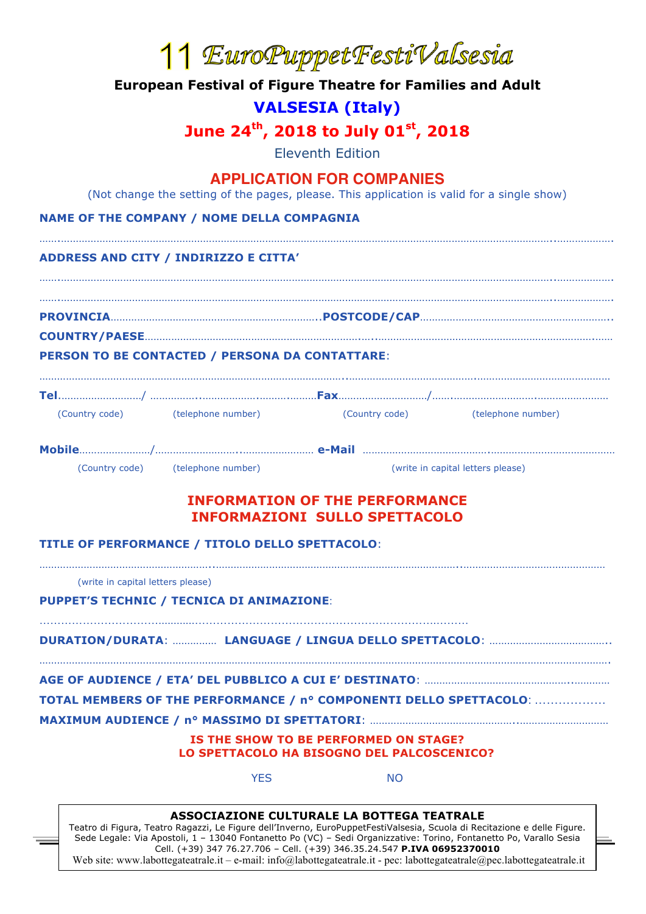|                                                                                         |                                                        | 11 EuroPuppetFestiValsesia                                                                                                     |                                                                    |  |  |  |
|-----------------------------------------------------------------------------------------|--------------------------------------------------------|--------------------------------------------------------------------------------------------------------------------------------|--------------------------------------------------------------------|--|--|--|
| <b>European Festival of Figure Theatre for Families and Adult</b>                       |                                                        |                                                                                                                                |                                                                    |  |  |  |
| <b>VALSESIA (Italy)</b><br>June $24^{\text{th}}$ , 2018 to July 01 <sup>st</sup> , 2018 |                                                        |                                                                                                                                |                                                                    |  |  |  |
|                                                                                         |                                                        |                                                                                                                                |                                                                    |  |  |  |
|                                                                                         |                                                        | <b>APPLICATION FOR COMPANIES</b><br>(Not change the setting of the pages, please. This application is valid for a single show) |                                                                    |  |  |  |
|                                                                                         | <b>NAME OF THE COMPANY / NOME DELLA COMPAGNIA</b>      |                                                                                                                                |                                                                    |  |  |  |
|                                                                                         | ADDRESS AND CITY / INDIRIZZO E CITTA'                  |                                                                                                                                |                                                                    |  |  |  |
|                                                                                         |                                                        |                                                                                                                                |                                                                    |  |  |  |
|                                                                                         |                                                        |                                                                                                                                |                                                                    |  |  |  |
|                                                                                         | <b>PERSON TO BE CONTACTED / PERSONA DA CONTATTARE:</b> |                                                                                                                                |                                                                    |  |  |  |
|                                                                                         |                                                        |                                                                                                                                |                                                                    |  |  |  |
|                                                                                         | (Country code) (telephone number)                      |                                                                                                                                | (Country code) (telephone number)                                  |  |  |  |
|                                                                                         |                                                        |                                                                                                                                |                                                                    |  |  |  |
|                                                                                         | (Country code) (telephone number)                      |                                                                                                                                | (write in capital letters please)                                  |  |  |  |
|                                                                                         |                                                        | <b>INFORMATION OF THE PERFORMANCE</b><br><b>INFORMAZIONI SULLO SPETTACOLO</b>                                                  |                                                                    |  |  |  |
|                                                                                         | TITLE OF PERFORMANCE / TITOLO DELLO SPETTACOLO:        |                                                                                                                                |                                                                    |  |  |  |
| (write in capital letters please)                                                       |                                                        |                                                                                                                                |                                                                    |  |  |  |
|                                                                                         | PUPPET'S TECHNIC / TECNICA DI ANIMAZIONE:              |                                                                                                                                |                                                                    |  |  |  |
|                                                                                         |                                                        |                                                                                                                                |                                                                    |  |  |  |
|                                                                                         |                                                        |                                                                                                                                |                                                                    |  |  |  |
|                                                                                         |                                                        |                                                                                                                                | TOTAL MEMBERS OF THE PERFORMANCE / nº COMPONENTI DELLO SPETTACOLO: |  |  |  |
|                                                                                         |                                                        |                                                                                                                                |                                                                    |  |  |  |
|                                                                                         |                                                        | IS THE SHOW TO BE PERFORMED ON STAGE?<br>LO SPETTACOLO HA BISOGNO DEL PALCOSCENICO?                                            |                                                                    |  |  |  |
|                                                                                         | <b>YES</b>                                             | <b>NO</b>                                                                                                                      |                                                                    |  |  |  |
|                                                                                         |                                                        |                                                                                                                                |                                                                    |  |  |  |

Teatro di Figura, Teatro Ragazzi, Le Figure dell'Inverno, EuroPuppetFestiValsesia, Scuola di Recitazione e delle Figure. Sede Legale: Via Apostoli, 1 – 13040 Fontanetto Po (VC) – Sedi Organizzative: Torino, Fontanetto Po, Varallo Sesia Cell. (+39) 347 76.27.706 – Cell. (+39) 346.35.24.547 **P.IVA 06952370010** Web site: www.labottegateatrale.it – e-mail: info@labottegateatrale.it - pec: labottegateatrale@pec.labottegateatrale.it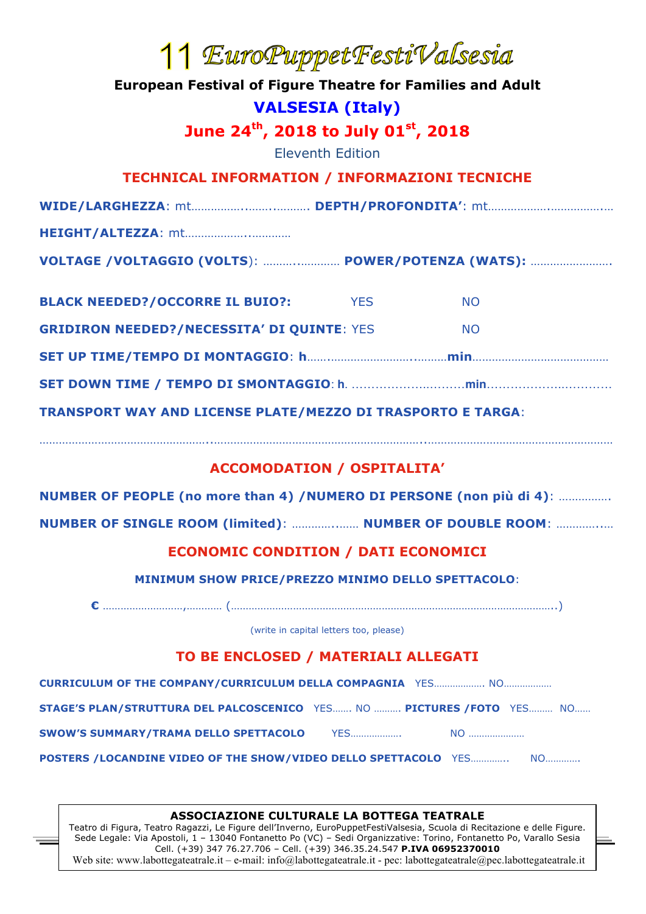# <sup>1</sup> *EuroPuppetFestiValsesia*<br>**European Festival of Figure Theatre for Families and Adult**

**VALSESIA (Italy)**

June 24<sup>th</sup>, 2018 to July 01<sup>st</sup>, 2018

Eleventh Edition

## **TECHNICAL INFORMATION / INFORMAZIONI TECNICHE**

**HEIGHT/ALTEZZA**: mt………………..…………

| VOLTAGE /VOLTAGGIO (VOLTS):  POWER/POTENZA (WATS): |
|----------------------------------------------------|
|----------------------------------------------------|

| <b>TRANSPORT WAY AND LICENSE PLATE/MEZZO DI TRASPORTO E TARGA:</b> |            |           |  |  |  |  |
|--------------------------------------------------------------------|------------|-----------|--|--|--|--|
|                                                                    |            |           |  |  |  |  |
|                                                                    |            |           |  |  |  |  |
| <b>GRIDIRON NEEDED?/NECESSITA' DI QUINTE: YES</b>                  |            | <b>NO</b> |  |  |  |  |
| <b>BLACK NEEDED?/OCCORRE IL BUIO?:</b>                             | <b>YFS</b> | <b>NO</b> |  |  |  |  |

## **ACCOMODATION / OSPITALITA'**

……………………………………………..………………………………………………………..…………………………………………………

**NUMBER OF PEOPLE (no more than 4) /NUMERO DI PERSONE (non più di 4)**: …………….

**NUMBER OF SINGLE ROOM (limited)**: …………..…… **NUMBER OF DOUBLE ROOM**: …………..…

# **ECONOMIC CONDITION / DATI ECONOMICI**

**MINIMUM SHOW PRICE/PREZZO MINIMO DELLO SPETTACOLO**:

**€** ………………………,………… (………………………………………………………………………………………………..)

(write in capital letters too, please)

# **TO BE ENCLOSED / MATERIALI ALLEGATI**

**CURRICULUM OF THE COMPANY/CURRICULUM DELLA COMPAGNIA** YES………………. NO………………

**STAGE'S PLAN/STRUTTURA DEL PALCOSCENICO** YES……. NO ………. **PICTURES /FOTO** YES……… NO……

**SWOW'S SUMMARY/TRAMA DELLO SPETTACOLO** YES………………. NO …………………

**POSTERS /LOCANDINE VIDEO OF THE SHOW/VIDEO DELLO SPETTACOLO** YES………….. NO………….

### **ASSOCIAZIONE CULTURALE LA BOTTEGA TEATRALE**

Teatro di Figura, Teatro Ragazzi, Le Figure dell'Inverno, EuroPuppetFestiValsesia, Scuola di Recitazione e delle Figure. Sede Legale: Via Apostoli, 1 – 13040 Fontanetto Po (VC) – Sedi Organizzative: Torino, Fontanetto Po, Varallo Sesia Cell. (+39) 347 76.27.706 – Cell. (+39) 346.35.24.547 **P.IVA 06952370010** Web site: www.labottegateatrale.it – e-mail: info@labottegateatrale.it - pec: labottegateatrale@pec.labottegateatrale.it